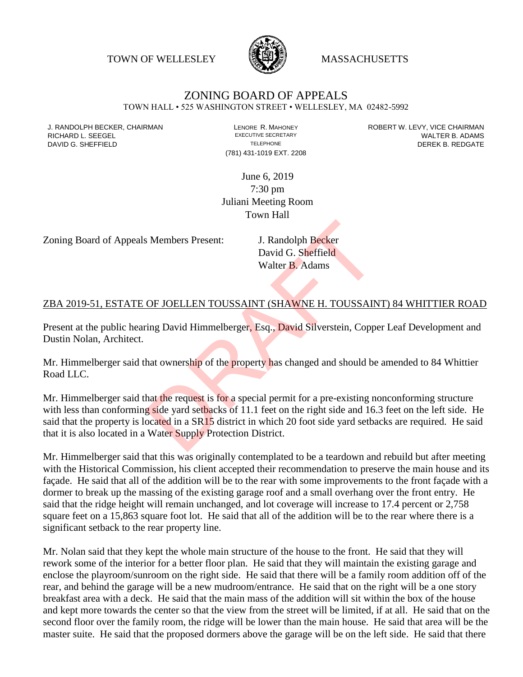TOWN OF WELLESLEY **WASSACHUSETTS** 



# ZONING BOARD OF APPEALS

TOWN HALL • 525 WASHINGTON STREET • WELLESLEY, MA 02482-5992

(781) 431-1019 EXT. 2208

J. RANDOLPH BECKER, CHAIRMAN LENORE R. MAHONEY ROBERT W. LEVY, VICE CHAIRMAN RICHARD L. SEEGEL **EXECUTIVE SECRETARY CONTROLL SEEGETARY** WALTER B. ADAMS DAVID G. SHEFFIELD **TELEPHONE** TELEPHONE TELEPHONE **TELEPHONE DEREK B. REDGATE** 

> June 6, 2019 7:30 pm Juliani Meeting Room Town Hall

Zoning Board of Appeals Members Present: J. Randolph Becker

David G. Sheffield Walter B. Adams

#### ZBA 2019-51, ESTATE OF JOELLEN TOUSSAINT (SHAWNE H. TOUSSAINT) 84 WHITTIER ROAD

Present at the public hearing David Himmelberger, Esq., David Silverstein, Copper Leaf Development and Dustin Nolan, Architect.

Mr. Himmelberger said that ownership of the property has changed and should be amended to 84 Whittier Road LLC.

Mr. Himmelberger said that the request is for a special permit for a pre-existing nonconforming structure with less than conforming side yard setbacks of 11.1 feet on the right side and 16.3 feet on the left side. He said that the property is located in a SR15 district in which 20 foot side yard setbacks are required. He said that it is also located in a Water Supply Protection District. S. Members Present:<br>
J. Randolph Becker<br>
David G. Sheffield<br>
Walter B. Adams<br>
OF JOELLEN TOUSSAINT (SHAWNE H. TOUSSAIN<br>
Ting David Himmelberger, Esq., David Silverstein, Coppe<br>
hat ownership of the property has changed and

Mr. Himmelberger said that this was originally contemplated to be a teardown and rebuild but after meeting with the Historical Commission, his client accepted their recommendation to preserve the main house and its façade. He said that all of the addition will be to the rear with some improvements to the front façade with a dormer to break up the massing of the existing garage roof and a small overhang over the front entry. He said that the ridge height will remain unchanged, and lot coverage will increase to 17.4 percent or 2,758 square feet on a 15,863 square foot lot. He said that all of the addition will be to the rear where there is a significant setback to the rear property line.

Mr. Nolan said that they kept the whole main structure of the house to the front. He said that they will rework some of the interior for a better floor plan. He said that they will maintain the existing garage and enclose the playroom/sunroom on the right side. He said that there will be a family room addition off of the rear, and behind the garage will be a new mudroom/entrance. He said that on the right will be a one story breakfast area with a deck. He said that the main mass of the addition will sit within the box of the house and kept more towards the center so that the view from the street will be limited, if at all. He said that on the second floor over the family room, the ridge will be lower than the main house. He said that area will be the master suite. He said that the proposed dormers above the garage will be on the left side. He said that there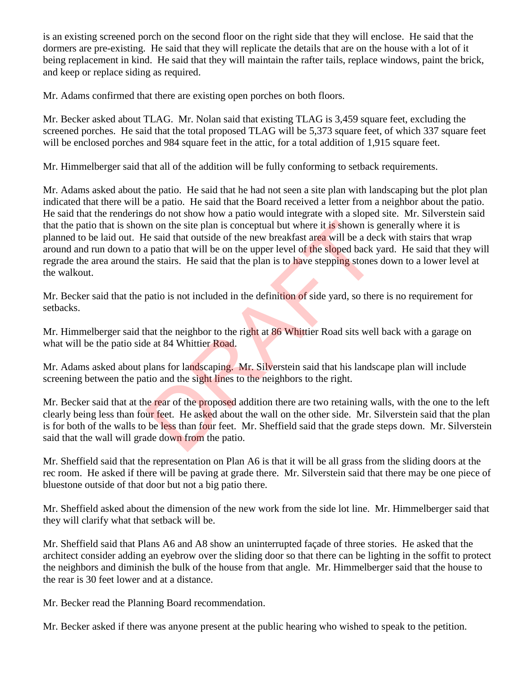is an existing screened porch on the second floor on the right side that they will enclose. He said that the dormers are pre-existing. He said that they will replicate the details that are on the house with a lot of it being replacement in kind. He said that they will maintain the rafter tails, replace windows, paint the brick, and keep or replace siding as required.

Mr. Adams confirmed that there are existing open porches on both floors.

Mr. Becker asked about TLAG. Mr. Nolan said that existing TLAG is 3,459 square feet, excluding the screened porches. He said that the total proposed TLAG will be 5,373 square feet, of which 337 square feet will be enclosed porches and 984 square feet in the attic, for a total addition of 1,915 square feet.

Mr. Himmelberger said that all of the addition will be fully conforming to setback requirements.

Mr. Adams asked about the patio. He said that he had not seen a site plan with landscaping but the plot plan indicated that there will be a patio. He said that the Board received a letter from a neighbor about the patio. He said that the renderings do not show how a patio would integrate with a sloped site. Mr. Silverstein said that the patio that is shown on the site plan is conceptual but where it is shown is generally where it is planned to be laid out. He said that outside of the new breakfast area will be a deck with stairs that wrap around and run down to a patio that will be on the upper level of the sloped back yard. He said that they will regrade the area around the stairs. He said that the plan is to have stepping stones down to a lower level at the walkout. In on the site plan is conceptual but where it is shown is get said that outside of the new breakfast area will be a deal patio that will be on the upper level of the sloped back y he stairs. He said that the plan is to ha

Mr. Becker said that the patio is not included in the definition of side yard, so there is no requirement for setbacks.

Mr. Himmelberger said that the neighbor to the right at 86 Whittier Road sits well back with a garage on what will be the patio side at 84 Whittier Road.

Mr. Adams asked about plans for landscaping. Mr. Silverstein said that his landscape plan will include screening between the patio and the sight lines to the neighbors to the right.

Mr. Becker said that at the rear of the proposed addition there are two retaining walls, with the one to the left clearly being less than four feet. He asked about the wall on the other side. Mr. Silverstein said that the plan is for both of the walls to be less than four feet. Mr. Sheffield said that the grade steps down. Mr. Silverstein said that the wall will grade down from the patio.

Mr. Sheffield said that the representation on Plan A6 is that it will be all grass from the sliding doors at the rec room. He asked if there will be paving at grade there. Mr. Silverstein said that there may be one piece of bluestone outside of that door but not a big patio there.

Mr. Sheffield asked about the dimension of the new work from the side lot line. Mr. Himmelberger said that they will clarify what that setback will be.

Mr. Sheffield said that Plans A6 and A8 show an uninterrupted façade of three stories. He asked that the architect consider adding an eyebrow over the sliding door so that there can be lighting in the soffit to protect the neighbors and diminish the bulk of the house from that angle. Mr. Himmelberger said that the house to the rear is 30 feet lower and at a distance.

Mr. Becker read the Planning Board recommendation.

Mr. Becker asked if there was anyone present at the public hearing who wished to speak to the petition.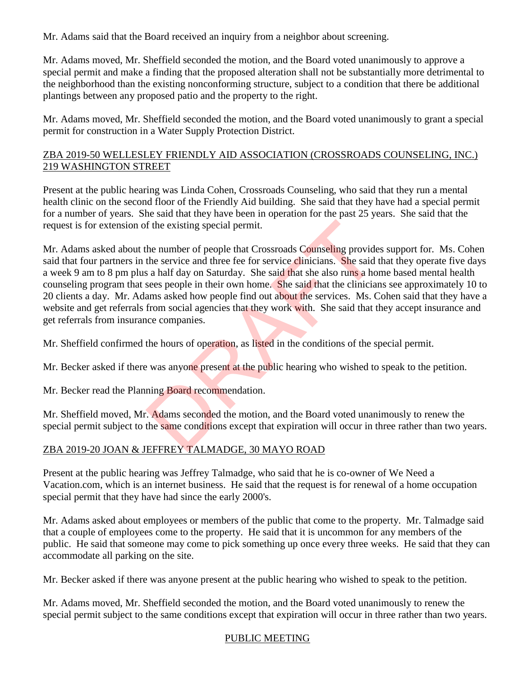Mr. Adams said that the Board received an inquiry from a neighbor about screening.

Mr. Adams moved, Mr. Sheffield seconded the motion, and the Board voted unanimously to approve a special permit and make a finding that the proposed alteration shall not be substantially more detrimental to the neighborhood than the existing nonconforming structure, subject to a condition that there be additional plantings between any proposed patio and the property to the right.

Mr. Adams moved, Mr. Sheffield seconded the motion, and the Board voted unanimously to grant a special permit for construction in a Water Supply Protection District.

## ZBA 2019-50 WELLESLEY FRIENDLY AID ASSOCIATION (CROSSROADS COUNSELING, INC.) 219 WASHINGTON STREET

Present at the public hearing was Linda Cohen, Crossroads Counseling, who said that they run a mental health clinic on the second floor of the Friendly Aid building. She said that they have had a special permit for a number of years. She said that they have been in operation for the past 25 years. She said that the request is for extension of the existing special permit.

Mr. Adams asked about the number of people that Crossroads Counseling provides support for. Ms. Cohen said that four partners in the service and three fee for service clinicians. She said that they operate five days a week 9 am to 8 pm plus a half day on Saturday. She said that she also runs a home based mental health counseling program that sees people in their own home. She said that the clinicians see approximately 10 to 20 clients a day. Mr. Adams asked how people find out about the services. Ms. Cohen said that they have a website and get referrals from social agencies that they work with. She said that they accept insurance and get referrals from insurance companies. f the existing special permit.<br>
the number of people that Crossroads Counseling provide<br>
the service and three fee for service clinicians. She said<br>
is a half day on Saturday. She said that she also runs a ho<br>
sees people

Mr. Sheffield confirmed the hours of operation, as listed in the conditions of the special permit.

Mr. Becker asked if there was anyone present at the public hearing who wished to speak to the petition.

Mr. Becker read the Planning Board recommendation.

Mr. Sheffield moved, Mr. Adams seconded the motion, and the Board voted unanimously to renew the special permit subject to the same conditions except that expiration will occur in three rather than two years.

## ZBA 2019-20 JOAN & JEFFREY TALMADGE, 30 MAYO ROAD

Present at the public hearing was Jeffrey Talmadge, who said that he is co-owner of We Need a Vacation.com, which is an internet business. He said that the request is for renewal of a home occupation special permit that they have had since the early 2000's.

Mr. Adams asked about employees or members of the public that come to the property. Mr. Talmadge said that a couple of employees come to the property. He said that it is uncommon for any members of the public. He said that someone may come to pick something up once every three weeks. He said that they can accommodate all parking on the site.

Mr. Becker asked if there was anyone present at the public hearing who wished to speak to the petition.

Mr. Adams moved, Mr. Sheffield seconded the motion, and the Board voted unanimously to renew the special permit subject to the same conditions except that expiration will occur in three rather than two years.

### PUBLIC MEETING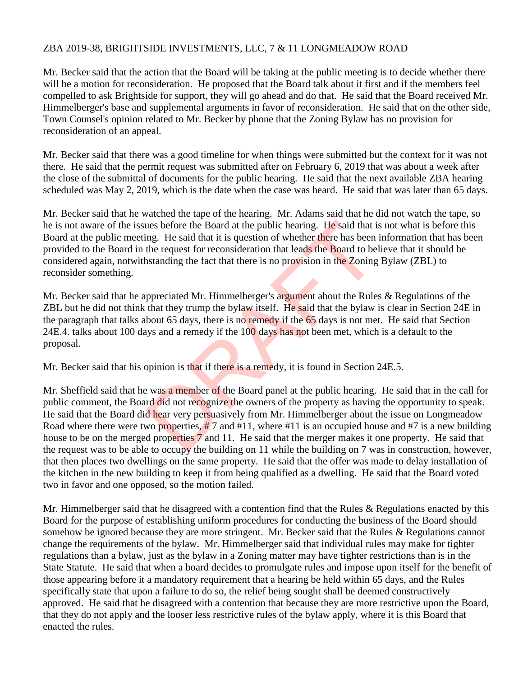### ZBA 2019-38, BRIGHTSIDE INVESTMENTS, LLC, 7 & 11 LONGMEADOW ROAD

Mr. Becker said that the action that the Board will be taking at the public meeting is to decide whether there will be a motion for reconsideration. He proposed that the Board talk about it first and if the members feel compelled to ask Brightside for support, they will go ahead and do that. He said that the Board received Mr. Himmelberger's base and supplemental arguments in favor of reconsideration. He said that on the other side, Town Counsel's opinion related to Mr. Becker by phone that the Zoning Bylaw has no provision for reconsideration of an appeal.

Mr. Becker said that there was a good timeline for when things were submitted but the context for it was not there. He said that the permit request was submitted after on February 6, 2019 that was about a week after the close of the submittal of documents for the public hearing. He said that the next available ZBA hearing scheduled was May 2, 2019, which is the date when the case was heard. He said that was later than 65 days.

Mr. Becker said that he watched the tape of the hearing. Mr. Adams said that he did not watch the tape, so he is not aware of the issues before the Board at the public hearing. He said that is not what is before this Board at the public meeting. He said that it is question of whether there has been information that has been provided to the Board in the request for reconsideration that leads the Board to believe that it should be considered again, notwithstanding the fact that there is no provision in the Zoning Bylaw (ZBL) to reconsider something.

Mr. Becker said that he appreciated Mr. Himmelberger's argument about the Rules & Regulations of the ZBL but he did not think that they trump the bylaw itself. He said that the bylaw is clear in Section 24E in the paragraph that talks about 65 days, there is no remedy if the 65 days is not met. He said that Section 24E.4. talks about 100 days and a remedy if the 100 days has not been met, which is a default to the proposal.

Mr. Becker said that his opinion is that if there is a remedy, it is found in Section 24E.5.

Mr. Sheffield said that he was a member of the Board panel at the public hearing. He said that in the call for public comment, the Board did not recognize the owners of the property as having the opportunity to speak. He said that the Board did hear very persuasively from Mr. Himmelberger about the issue on Longmeadow Road where there were two properties,  $\#$  7 and  $\#$ 11, where  $\#$ 11 is an occupied house and  $\#$ 7 is a new building house to be on the merged properties 7 and 11. He said that the merger makes it one property. He said that the request was to be able to occupy the building on 11 while the building on 7 was in construction, however, that then places two dwellings on the same property. He said that the offer was made to delay installation of the kitchen in the new building to keep it from being qualified as a dwelling. He said that the Board voted two in favor and one opposed, so the motion failed. Let us before the Board at the public hearing. He said that if the means of whether there has been the request for reconsideration that leads the Board to be instanding the fact that there is no provision in the Zoning pp

Mr. Himmelberger said that he disagreed with a contention find that the Rules & Regulations enacted by this Board for the purpose of establishing uniform procedures for conducting the business of the Board should somehow be ignored because they are more stringent. Mr. Becker said that the Rules & Regulations cannot change the requirements of the bylaw. Mr. Himmelberger said that individual rules may make for tighter regulations than a bylaw, just as the bylaw in a Zoning matter may have tighter restrictions than is in the State Statute. He said that when a board decides to promulgate rules and impose upon itself for the benefit of those appearing before it a mandatory requirement that a hearing be held within 65 days, and the Rules specifically state that upon a failure to do so, the relief being sought shall be deemed constructively approved. He said that he disagreed with a contention that because they are more restrictive upon the Board, that they do not apply and the looser less restrictive rules of the bylaw apply, where it is this Board that enacted the rules.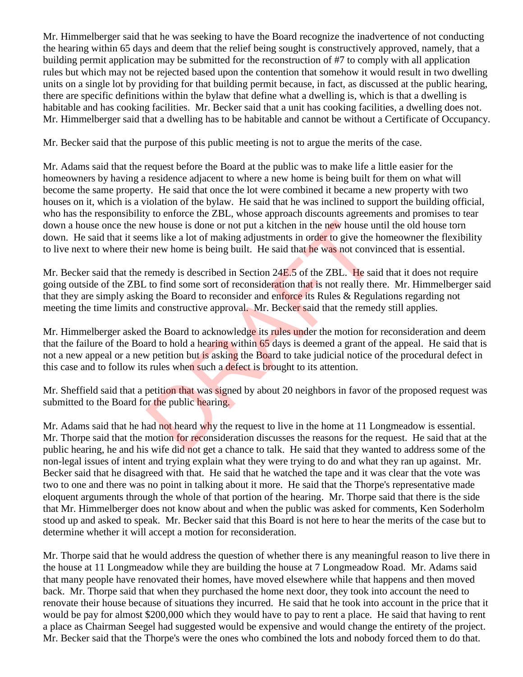Mr. Himmelberger said that he was seeking to have the Board recognize the inadvertence of not conducting the hearing within 65 days and deem that the relief being sought is constructively approved, namely, that a building permit application may be submitted for the reconstruction of #7 to comply with all application rules but which may not be rejected based upon the contention that somehow it would result in two dwelling units on a single lot by providing for that building permit because, in fact, as discussed at the public hearing, there are specific definitions within the bylaw that define what a dwelling is, which is that a dwelling is habitable and has cooking facilities. Mr. Becker said that a unit has cooking facilities, a dwelling does not. Mr. Himmelberger said that a dwelling has to be habitable and cannot be without a Certificate of Occupancy.

Mr. Becker said that the purpose of this public meeting is not to argue the merits of the case.

Mr. Adams said that the request before the Board at the public was to make life a little easier for the homeowners by having a residence adjacent to where a new home is being built for them on what will become the same property. He said that once the lot were combined it became a new property with two houses on it, which is a violation of the bylaw. He said that he was inclined to support the building official, who has the responsibility to enforce the ZBL, whose approach discounts agreements and promises to tear down a house once the new house is done or not put a kitchen in the new house until the old house torn down. He said that it seems like a lot of making adjustments in order to give the homeowner the flexibility to live next to where their new home is being built. He said that he was not convinced that is essential.

Mr. Becker said that the remedy is described in Section 24E.5 of the ZBL. He said that it does not require going outside of the ZBL to find some sort of reconsideration that is not really there. Mr. Himmelberger said that they are simply asking the Board to reconsider and enforce its Rules & Regulations regarding not meeting the time limits and constructive approval. Mr. Becker said that the remedy still applies. ew house is done or not put a kitchen in the new house urms like a lot of making adjustments in order to give the h<br>r new home is being built. He said that he was not convi<br>remedy is described in Section 24E.5 of the ZBL.

Mr. Himmelberger asked the Board to acknowledge its rules under the motion for reconsideration and deem that the failure of the Board to hold a hearing within 65 days is deemed a grant of the appeal. He said that is not a new appeal or a new petition but is asking the Board to take judicial notice of the procedural defect in this case and to follow its rules when such a defect is brought to its attention.

Mr. Sheffield said that a petition that was signed by about 20 neighbors in favor of the proposed request was submitted to the Board for the public hearing.

Mr. Adams said that he had not heard why the request to live in the home at 11 Longmeadow is essential. Mr. Thorpe said that the motion for reconsideration discusses the reasons for the request. He said that at the public hearing, he and his wife did not get a chance to talk. He said that they wanted to address some of the non-legal issues of intent and trying explain what they were trying to do and what they ran up against. Mr. Becker said that he disagreed with that. He said that he watched the tape and it was clear that the vote was two to one and there was no point in talking about it more. He said that the Thorpe's representative made eloquent arguments through the whole of that portion of the hearing. Mr. Thorpe said that there is the side that Mr. Himmelberger does not know about and when the public was asked for comments, Ken Soderholm stood up and asked to speak. Mr. Becker said that this Board is not here to hear the merits of the case but to determine whether it will accept a motion for reconsideration.

Mr. Thorpe said that he would address the question of whether there is any meaningful reason to live there in the house at 11 Longmeadow while they are building the house at 7 Longmeadow Road. Mr. Adams said that many people have renovated their homes, have moved elsewhere while that happens and then moved back. Mr. Thorpe said that when they purchased the home next door, they took into account the need to renovate their house because of situations they incurred. He said that he took into account in the price that it would be pay for almost \$200,000 which they would have to pay to rent a place. He said that having to rent a place as Chairman Seegel had suggested would be expensive and would change the entirety of the project. Mr. Becker said that the Thorpe's were the ones who combined the lots and nobody forced them to do that.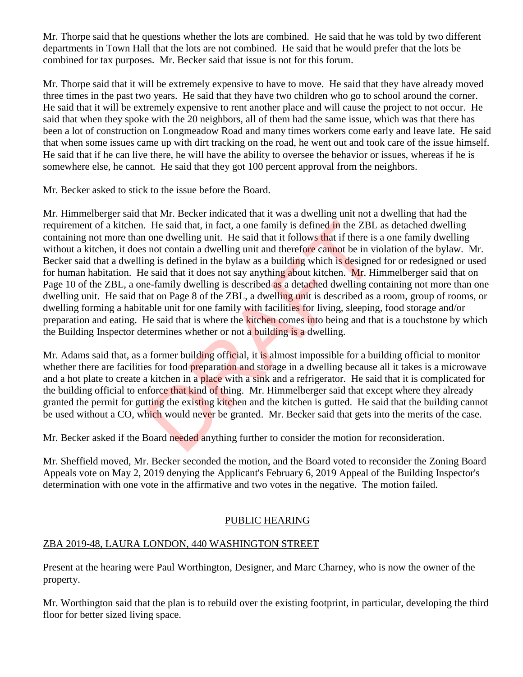Mr. Thorpe said that he questions whether the lots are combined. He said that he was told by two different departments in Town Hall that the lots are not combined. He said that he would prefer that the lots be combined for tax purposes. Mr. Becker said that issue is not for this forum.

Mr. Thorpe said that it will be extremely expensive to have to move. He said that they have already moved three times in the past two years. He said that they have two children who go to school around the corner. He said that it will be extremely expensive to rent another place and will cause the project to not occur. He said that when they spoke with the 20 neighbors, all of them had the same issue, which was that there has been a lot of construction on Longmeadow Road and many times workers come early and leave late. He said that when some issues came up with dirt tracking on the road, he went out and took care of the issue himself. He said that if he can live there, he will have the ability to oversee the behavior or issues, whereas if he is somewhere else, he cannot. He said that they got 100 percent approval from the neighbors.

Mr. Becker asked to stick to the issue before the Board.

Mr. Himmelberger said that Mr. Becker indicated that it was a dwelling unit not a dwelling that had the requirement of a kitchen. He said that, in fact, a one family is defined in the ZBL as detached dwelling containing not more than one dwelling unit. He said that it follows that if there is a one family dwelling without a kitchen, it does not contain a dwelling unit and therefore cannot be in violation of the bylaw. Mr. Becker said that a dwelling is defined in the bylaw as a building which is designed for or redesigned or used for human habitation. He said that it does not say anything about kitchen. Mr. Himmelberger said that on Page 10 of the ZBL, a one-family dwelling is described as a detached dwelling containing not more than one dwelling unit. He said that on Page 8 of the ZBL, a dwelling unit is described as a room, group of rooms, or dwelling forming a habitable unit for one family with facilities for living, sleeping, food storage and/or preparation and eating. He said that is where the kitchen comes into being and that is a touchstone by which the Building Inspector determines whether or not a building is a dwelling. He said that, in fact, a one family is defined in the ZBL<br>one dwelling unit. He said that it follows that if there is<br>not contain a dwelling unit and therefore cannot be in vi<br>ng is defined in the bylaw as a building which

Mr. Adams said that, as a former building official, it is almost impossible for a building official to monitor whether there are facilities for food **preparation** and storage in a dwelling because all it takes is a microwave and a hot plate to create a kitchen in a place with a sink and a refrigerator. He said that it is complicated for the building official to enforce that kind of thing. Mr. Himmelberger said that except where they already granted the permit for gutting the existing kitchen and the kitchen is gutted. He said that the building cannot be used without a CO, which would never be granted. Mr. Becker said that gets into the merits of the case.

Mr. Becker asked if the Board needed anything further to consider the motion for reconsideration.

Mr. Sheffield moved, Mr. Becker seconded the motion, and the Board voted to reconsider the Zoning Board Appeals vote on May 2, 2019 denying the Applicant's February 6, 2019 Appeal of the Building Inspector's determination with one vote in the affirmative and two votes in the negative. The motion failed.

## PUBLIC HEARING

# ZBA 2019-48, LAURA LONDON, 440 WASHINGTON STREET

Present at the hearing were Paul Worthington, Designer, and Marc Charney, who is now the owner of the property.

Mr. Worthington said that the plan is to rebuild over the existing footprint, in particular, developing the third floor for better sized living space.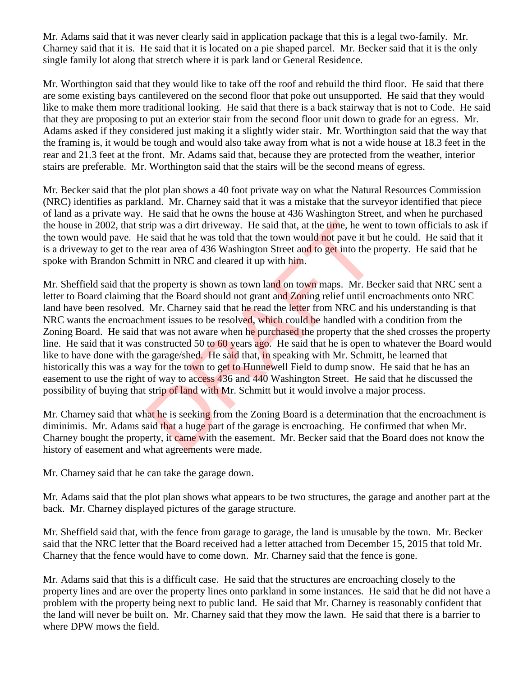Mr. Adams said that it was never clearly said in application package that this is a legal two-family. Mr. Charney said that it is. He said that it is located on a pie shaped parcel. Mr. Becker said that it is the only single family lot along that stretch where it is park land or General Residence.

Mr. Worthington said that they would like to take off the roof and rebuild the third floor. He said that there are some existing bays cantilevered on the second floor that poke out unsupported. He said that they would like to make them more traditional looking. He said that there is a back stairway that is not to Code. He said that they are proposing to put an exterior stair from the second floor unit down to grade for an egress. Mr. Adams asked if they considered just making it a slightly wider stair. Mr. Worthington said that the way that the framing is, it would be tough and would also take away from what is not a wide house at 18.3 feet in the rear and 21.3 feet at the front. Mr. Adams said that, because they are protected from the weather, interior stairs are preferable. Mr. Worthington said that the stairs will be the second means of egress.

Mr. Becker said that the plot plan shows a 40 foot private way on what the Natural Resources Commission (NRC) identifies as parkland. Mr. Charney said that it was a mistake that the surveyor identified that piece of land as a private way. He said that he owns the house at 436 Washington Street, and when he purchased the house in 2002, that strip was a dirt driveway. He said that, at the time, he went to town officials to ask if the town would pave. He said that he was told that the town would not pave it but he could. He said that it is a driveway to get to the rear area of 436 Washington Street and to get into the property. He said that he spoke with Brandon Schmitt in NRC and cleared it up with him.

Mr. Sheffield said that the property is shown as town land on town maps. Mr. Becker said that NRC sent a letter to Board claiming that the Board should not grant and Zoning relief until encroachments onto NRC land have been resolved. Mr. Charney said that he read the letter from NRC and his understanding is that NRC wants the encroachment issues to be resolved, which could be handled with a condition from the Zoning Board. He said that was not aware when he purchased the property that the shed crosses the property line. He said that it was constructed 50 to 60 years ago. He said that he is open to whatever the Board would like to have done with the garage/shed. He said that, in speaking with Mr. Schmitt, he learned that historically this was a way for the town to get to Hunnewell Field to dump snow. He said that he has an easement to use the right of way to access 436 and 440 Washington Street. He said that he discussed the possibility of buying that strip of land with Mr. Schmitt but it would involve a major process. rip was a dirt driveway. He said that, at the time, he wenes aid that he was told that the town would not pave it but e rear area of 436 Washington Street and to get into the p mitt in NRC and cleared it up with him.<br>
e pr

Mr. Charney said that what he is seeking from the Zoning Board is a determination that the encroachment is diminimis. Mr. Adams said that a huge part of the garage is encroaching. He confirmed that when Mr. Charney bought the property, it came with the easement. Mr. Becker said that the Board does not know the history of easement and what agreements were made.

Mr. Charney said that he can take the garage down.

Mr. Adams said that the plot plan shows what appears to be two structures, the garage and another part at the back. Mr. Charney displayed pictures of the garage structure.

Mr. Sheffield said that, with the fence from garage to garage, the land is unusable by the town. Mr. Becker said that the NRC letter that the Board received had a letter attached from December 15, 2015 that told Mr. Charney that the fence would have to come down. Mr. Charney said that the fence is gone.

Mr. Adams said that this is a difficult case. He said that the structures are encroaching closely to the property lines and are over the property lines onto parkland in some instances. He said that he did not have a problem with the property being next to public land. He said that Mr. Charney is reasonably confident that the land will never be built on. Mr. Charney said that they mow the lawn. He said that there is a barrier to where DPW mows the field.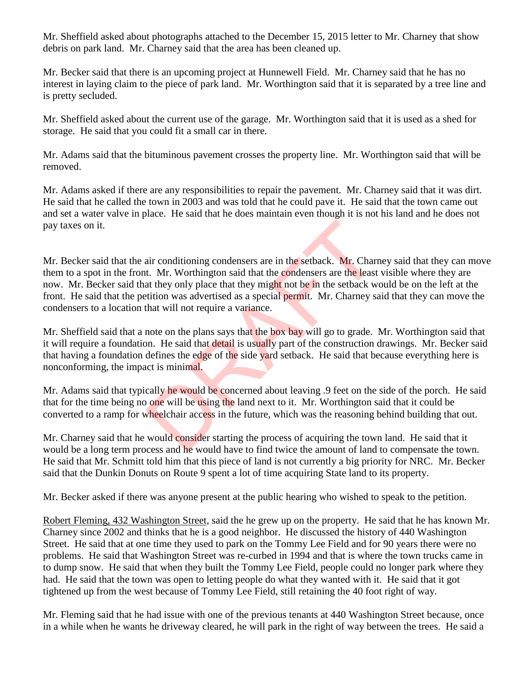Mr. Sheffield asked about photographs attached to the December 15, 2015 letter to Mr. Charney that show debris on park land. Mr. Charney said that the area has been cleaned up.

Mr. Becker said that there is an upcoming project at Hunnewell Field. Mr. Charney said that he has no interest in laying claim to the piece of park land. Mr. Worthington said that it is separated by a tree line and is pretty secluded.

Mr. Sheffield asked about the current use of the garage. Mr. Worthington said that it is used as a shed for storage. He said that you could fit a small car in there.

Mr. Adams said that the bituminous pavement crosses the property line. Mr. Worthington said that will be removed.

Mr. Adams asked if there are any responsibilities to repair the pavement. Mr. Charney said that it was dirt. He said that he called the town in 2003 and was told that he could pave it. He said that the town came out and set a water valve in place. He said that he does maintain even though it is not his land and he does not pay taxes on it.

Mr. Becker said that the air conditioning condensers are in the setback. Mr. Charney said that they can move them to a spot in the front. Mr. Worthington said that the condensers are the least visible where they are now. Mr. Becker said that they only place that they might not be in the setback would be on the left at the front. He said that the petition was advertised as a special permit. Mr. Charney said that they can move the condensers to a location that will not require a variance. air conditioning condensers are in the setback. Mr. Charn<br>t. Mr. Worthington said that the condensers are the least<br>at they only place that they might not be in the setback w<br>tition was advertised as a special permit. Mr.

Mr. Sheffield said that a note on the plans says that the box bay will go to grade. Mr. Worthington said that it will require a foundation. He said that detail is usually part of the construction drawings. Mr. Becker said that having a foundation defines the edge of the side yard setback. He said that because everything here is nonconforming, the impact is minimal.

Mr. Adams said that typically he would be concerned about leaving .9 feet on the side of the porch. He said that for the time being no one will be using the land next to it. Mr. Worthington said that it could be converted to a ramp for wheelchair access in the future, which was the reasoning behind building that out.

Mr. Charney said that he would consider starting the process of acquiring the town land. He said that it would be a long term process and he would have to find twice the amount of land to compensate the town. He said that Mr. Schmitt told him that this piece of land is not currently a big priority for NRC. Mr. Becker said that the Dunkin Donuts on Route 9 spent a lot of time acquiring State land to its property.

Mr. Becker asked if there was anyone present at the public hearing who wished to speak to the petition.

Robert Fleming, 432 Washington Street, said the he grew up on the property. He said that he has known Mr. Charney since 2002 and thinks that he is a good neighbor. He discussed the history of 440 Washington Street. He said that at one time they used to park on the Tommy Lee Field and for 90 years there were no problems. He said that Washington Street was re-curbed in 1994 and that is where the town trucks came in to dump snow. He said that when they built the Tommy Lee Field, people could no longer park where they had. He said that the town was open to letting people do what they wanted with it. He said that it got tightened up from the west because of Tommy Lee Field, still retaining the 40 foot right of way.

Mr. Fleming said that he had issue with one of the previous tenants at 440 Washington Street because, once in a while when he wants he driveway cleared, he will park in the right of way between the trees. He said a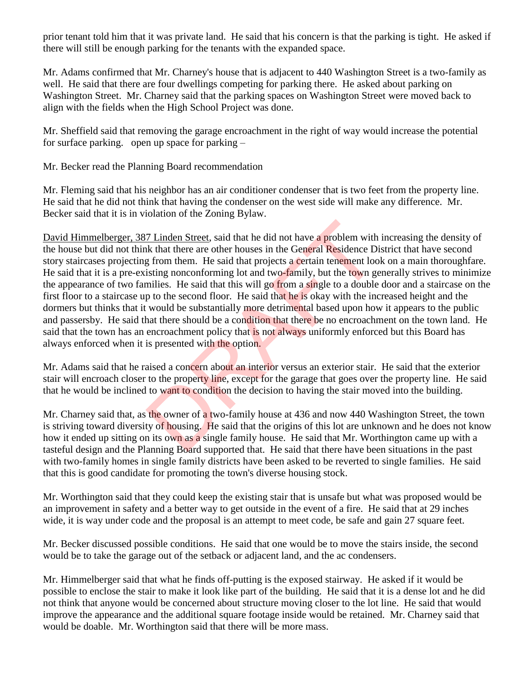prior tenant told him that it was private land. He said that his concern is that the parking is tight. He asked if there will still be enough parking for the tenants with the expanded space.

Mr. Adams confirmed that Mr. Charney's house that is adjacent to 440 Washington Street is a two-family as well. He said that there are four dwellings competing for parking there. He asked about parking on Washington Street. Mr. Charney said that the parking spaces on Washington Street were moved back to align with the fields when the High School Project was done.

Mr. Sheffield said that removing the garage encroachment in the right of way would increase the potential for surface parking. open up space for parking –

Mr. Becker read the Planning Board recommendation

Mr. Fleming said that his neighbor has an air conditioner condenser that is two feet from the property line. He said that he did not think that having the condenser on the west side will make any difference. Mr. Becker said that it is in violation of the Zoning Bylaw.

David Himmelberger, 387 Linden Street, said that he did not have a problem with increasing the density of the house but did not think that there are other houses in the General Residence District that have second story staircases projecting from them. He said that projects a certain tenement look on a main thoroughfare. He said that it is a pre-existing nonconforming lot and two-family, but the town generally strives to minimize the appearance of two families. He said that this will go from a single to a double door and a staircase on the first floor to a staircase up to the second floor. He said that he is okay with the increased height and the dormers but thinks that it would be substantially more detrimental based upon how it appears to the public and passersby. He said that there should be a condition that there be no encroachment on the town land. He said that the town has an encroachment policy that is not always uniformly enforced but this Board has always enforced when it is presented with the option. 7 Linden Street, said that he did not have a **problem** with<br>
the that there are other houses in the General Residence D<br>
g from them. He said that projects a **c**ertain tenement loc<br>
isting nonconforming lot and two-family

Mr. Adams said that he raised a concern about an interior versus an exterior stair. He said that the exterior stair will encroach closer to the property line, except for the garage that goes over the property line. He said that he would be inclined to want to condition the decision to having the stair moved into the building.

Mr. Charney said that, as the owner of a two-family house at 436 and now 440 Washington Street, the town is striving toward diversity of housing. He said that the origins of this lot are unknown and he does not know how it ended up sitting on its own as a single family house. He said that Mr. Worthington came up with a tasteful design and the Planning Board supported that. He said that there have been situations in the past with two-family homes in single family districts have been asked to be reverted to single families. He said that this is good candidate for promoting the town's diverse housing stock.

Mr. Worthington said that they could keep the existing stair that is unsafe but what was proposed would be an improvement in safety and a better way to get outside in the event of a fire. He said that at 29 inches wide, it is way under code and the proposal is an attempt to meet code, be safe and gain 27 square feet.

Mr. Becker discussed possible conditions. He said that one would be to move the stairs inside, the second would be to take the garage out of the setback or adjacent land, and the ac condensers.

Mr. Himmelberger said that what he finds off-putting is the exposed stairway. He asked if it would be possible to enclose the stair to make it look like part of the building. He said that it is a dense lot and he did not think that anyone would be concerned about structure moving closer to the lot line. He said that would improve the appearance and the additional square footage inside would be retained. Mr. Charney said that would be doable. Mr. Worthington said that there will be more mass.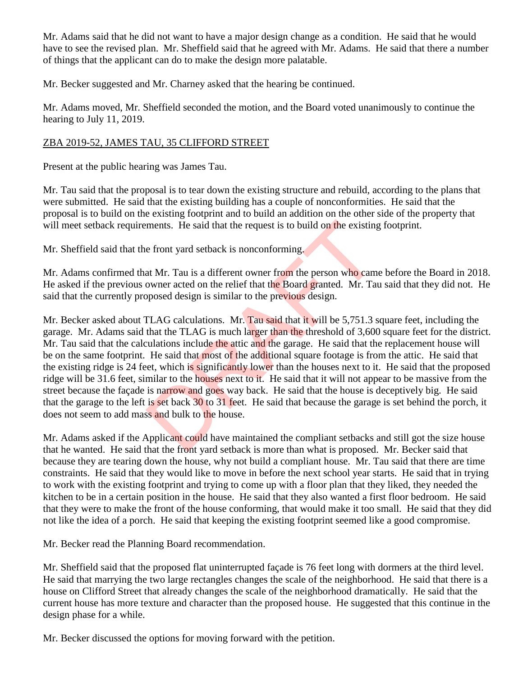Mr. Adams said that he did not want to have a major design change as a condition. He said that he would have to see the revised plan. Mr. Sheffield said that he agreed with Mr. Adams. He said that there a number of things that the applicant can do to make the design more palatable.

Mr. Becker suggested and Mr. Charney asked that the hearing be continued.

Mr. Adams moved, Mr. Sheffield seconded the motion, and the Board voted unanimously to continue the hearing to July 11, 2019.

### ZBA 2019-52, JAMES TAU, 35 CLIFFORD STREET

Present at the public hearing was James Tau.

Mr. Tau said that the proposal is to tear down the existing structure and rebuild, according to the plans that were submitted. He said that the existing building has a couple of nonconformities. He said that the proposal is to build on the existing footprint and to build an addition on the other side of the property that will meet setback requirements. He said that the request is to build on the existing footprint.

Mr. Sheffield said that the front yard setback is nonconforming.

Mr. Adams confirmed that Mr. Tau is a different owner from the person who came before the Board in 2018. He asked if the previous owner acted on the relief that the Board granted. Mr. Tau said that they did not. He said that the currently proposed design is similar to the previous design.

Mr. Becker asked about TLAG calculations. Mr. Tau said that it will be 5,751.3 square feet, including the garage. Mr. Adams said that the TLAG is much larger than the threshold of 3,600 square feet for the district. Mr. Tau said that the calculations include the attic and the garage. He said that the replacement house will be on the same footprint. He said that most of the additional square footage is from the attic. He said that the existing ridge is 24 feet, which is significantly lower than the houses next to it. He said that the proposed ridge will be 31.6 feet, similar to the houses next to it. He said that it will not appear to be massive from the street because the façade is narrow and goes way back. He said that the house is deceptively big. He said that the garage to the left is set back 30 to 31 feet. He said that because the garage is set behind the porch, it does not seem to add mass and bulk to the house. ments. He said that the request is to build on the existing<br>e front yard setback is nonconforming.<br>at Mr. Tau is a different owner from the person who cam<br>owner acted on the relief that the Board granted. Mr. Tau<br>posed des

Mr. Adams asked if the Applicant could have maintained the compliant setbacks and still got the size house that he wanted. He said that the front yard setback is more than what is proposed. Mr. Becker said that because they are tearing down the house, why not build a compliant house. Mr. Tau said that there are time constraints. He said that they would like to move in before the next school year starts. He said that in trying to work with the existing footprint and trying to come up with a floor plan that they liked, they needed the kitchen to be in a certain position in the house. He said that they also wanted a first floor bedroom. He said that they were to make the front of the house conforming, that would make it too small. He said that they did not like the idea of a porch. He said that keeping the existing footprint seemed like a good compromise.

Mr. Becker read the Planning Board recommendation.

Mr. Sheffield said that the proposed flat uninterrupted façade is 76 feet long with dormers at the third level. He said that marrying the two large rectangles changes the scale of the neighborhood. He said that there is a house on Clifford Street that already changes the scale of the neighborhood dramatically. He said that the current house has more texture and character than the proposed house. He suggested that this continue in the design phase for a while.

Mr. Becker discussed the options for moving forward with the petition.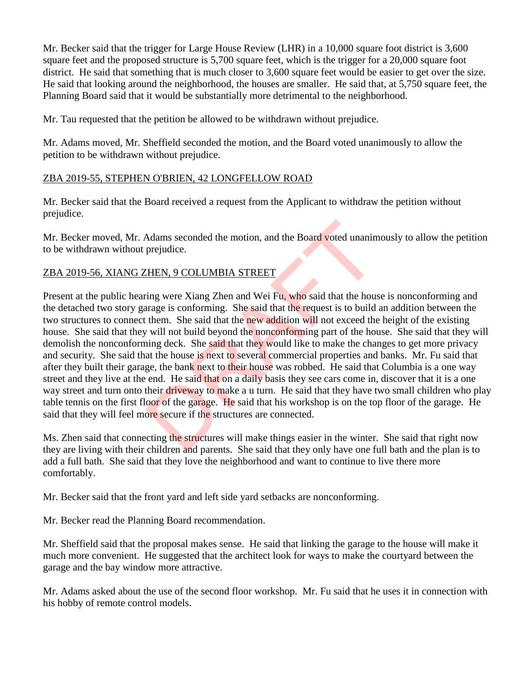Mr. Becker said that the trigger for Large House Review (LHR) in a 10,000 square foot district is 3,600 square feet and the proposed structure is 5,700 square feet, which is the trigger for a 20,000 square foot district. He said that something that is much closer to 3,600 square feet would be easier to get over the size. He said that looking around the neighborhood, the houses are smaller. He said that, at 5,750 square feet, the Planning Board said that it would be substantially more detrimental to the neighborhood.

Mr. Tau requested that the petition be allowed to be withdrawn without prejudice.

Mr. Adams moved, Mr. Sheffield seconded the motion, and the Board voted unanimously to allow the petition to be withdrawn without prejudice.

### ZBA 2019-55, STEPHEN O'BRIEN, 42 LONGFELLOW ROAD

Mr. Becker said that the Board received a request from the Applicant to withdraw the petition without prejudice.

Mr. Becker moved, Mr. Adams seconded the motion, and the Board voted unanimously to allow the petition to be withdrawn without prejudice.

#### ZBA 2019-56, XIANG ZHEN, 9 COLUMBIA STREET

Present at the public hearing were Xiang Zhen and Wei Fu, who said that the house is nonconforming and the detached two story garage is conforming. She said that the request is to build an addition between the two structures to connect them. She said that the new addition will not exceed the height of the existing house. She said that they will not build beyond the nonconforming part of the house. She said that they will demolish the nonconforming deck. She said that they would like to make the changes to get more privacy and security. She said that the house is next to several commercial properties and banks. Mr. Fu said that after they built their garage, the bank next to their house was robbed. He said that Columbia is a one way street and they live at the end. He said that on a daily basis they see cars come in, discover that it is a one way street and turn onto their driveway to make a u turn. He said that they have two small children who play table tennis on the first floor of the garage. He said that his workshop is on the top floor of the garage. He said that they will feel more secure if the structures are connected. Adams seconded the motion, and the Board voted unanim<br>prejudice.<br>
<u>CHEN, 9 COLUMBIA STREET</u><br>
ing were Xiang Zhen and Wei Fu, who said that the hous<br>
irage is conforming. She said that the request is to build<br>
them. She sai

Ms. Zhen said that connecting the structures will make things easier in the winter. She said that right now they are living with their children and parents. She said that they only have one full bath and the plan is to add a full bath. She said that they love the neighborhood and want to continue to live there more comfortably.

Mr. Becker said that the front yard and left side yard setbacks are nonconforming.

Mr. Becker read the Planning Board recommendation.

Mr. Sheffield said that the proposal makes sense. He said that linking the garage to the house will make it much more convenient. He suggested that the architect look for ways to make the courtyard between the garage and the bay window more attractive.

Mr. Adams asked about the use of the second floor workshop. Mr. Fu said that he uses it in connection with his hobby of remote control models.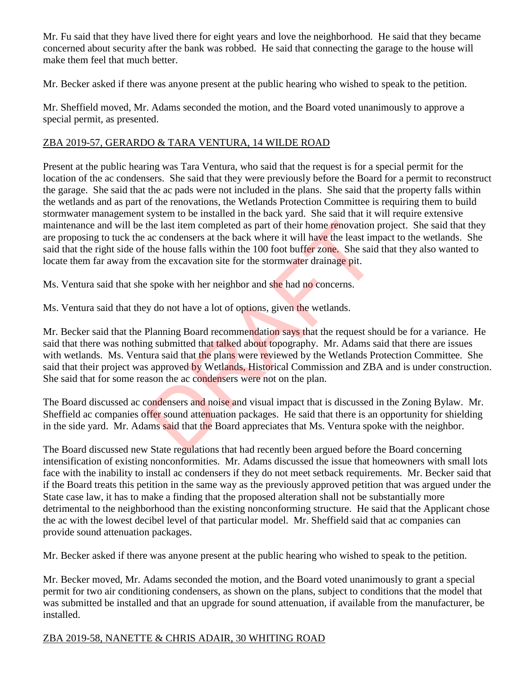Mr. Fu said that they have lived there for eight years and love the neighborhood. He said that they became concerned about security after the bank was robbed. He said that connecting the garage to the house will make them feel that much better.

Mr. Becker asked if there was anyone present at the public hearing who wished to speak to the petition.

Mr. Sheffield moved, Mr. Adams seconded the motion, and the Board voted unanimously to approve a special permit, as presented.

## ZBA 2019-57, GERARDO & TARA VENTURA, 14 WILDE ROAD

Present at the public hearing was Tara Ventura, who said that the request is for a special permit for the location of the ac condensers. She said that they were previously before the Board for a permit to reconstruct the garage. She said that the ac pads were not included in the plans. She said that the property falls within the wetlands and as part of the renovations, the Wetlands Protection Committee is requiring them to build stormwater management system to be installed in the back yard. She said that it will require extensive maintenance and will be the last item completed as part of their home renovation project. She said that they are proposing to tuck the ac condensers at the back where it will have the least impact to the wetlands. She said that the right side of the house falls within the 100 foot buffer zone. She said that they also wanted to locate them far away from the excavation site for the stormwater drainage pit.

Ms. Ventura said that she spoke with her neighbor and she had no concerns.

Ms. Ventura said that they do not have a lot of options, given the wetlands.

Mr. Becker said that the Planning Board recommendation says that the request should be for a variance. He said that there was nothing submitted that talked about topography. Mr. Adams said that there are issues with wetlands. Ms. Ventura said that the plans were reviewed by the Wetlands Protection Committee. She said that their project was approved by Wetlands, Historical Commission and ZBA and is under construction. She said that for some reason the ac condensers were not on the plan. the last item completed as part of their home renovation and condensers at the back where it will have the least im<br>the house falls within the 100 foot buffer zone. She said<br>in the excavation site for the stormwater draina

The Board discussed ac condensers and noise and visual impact that is discussed in the Zoning Bylaw. Mr. Sheffield ac companies offer sound attenuation packages. He said that there is an opportunity for shielding in the side yard. Mr. Adams said that the Board appreciates that Ms. Ventura spoke with the neighbor.

The Board discussed new State regulations that had recently been argued before the Board concerning intensification of existing nonconformities. Mr. Adams discussed the issue that homeowners with small lots face with the inability to install ac condensers if they do not meet setback requirements. Mr. Becker said that if the Board treats this petition in the same way as the previously approved petition that was argued under the State case law, it has to make a finding that the proposed alteration shall not be substantially more detrimental to the neighborhood than the existing nonconforming structure. He said that the Applicant chose the ac with the lowest decibel level of that particular model. Mr. Sheffield said that ac companies can provide sound attenuation packages.

Mr. Becker asked if there was anyone present at the public hearing who wished to speak to the petition.

Mr. Becker moved, Mr. Adams seconded the motion, and the Board voted unanimously to grant a special permit for two air conditioning condensers, as shown on the plans, subject to conditions that the model that was submitted be installed and that an upgrade for sound attenuation, if available from the manufacturer, be installed.

## ZBA 2019-58, NANETTE & CHRIS ADAIR, 30 WHITING ROAD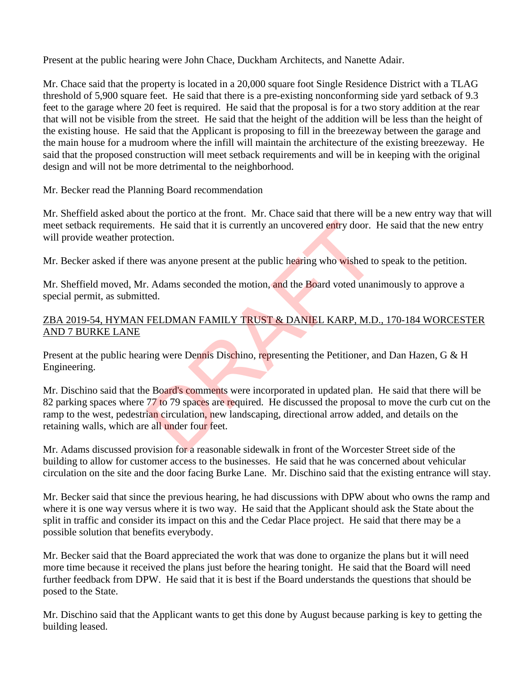Present at the public hearing were John Chace, Duckham Architects, and Nanette Adair.

Mr. Chace said that the property is located in a 20,000 square foot Single Residence District with a TLAG threshold of 5,900 square feet. He said that there is a pre-existing nonconforming side yard setback of 9.3 feet to the garage where 20 feet is required. He said that the proposal is for a two story addition at the rear that will not be visible from the street. He said that the height of the addition will be less than the height of the existing house. He said that the Applicant is proposing to fill in the breezeway between the garage and the main house for a mudroom where the infill will maintain the architecture of the existing breezeway. He said that the proposed construction will meet setback requirements and will be in keeping with the original design and will not be more detrimental to the neighborhood.

Mr. Becker read the Planning Board recommendation

Mr. Sheffield asked about the portico at the front. Mr. Chace said that there will be a new entry way that will meet setback requirements. He said that it is currently an uncovered entry door. He said that the new entry will provide weather protection.

Mr. Becker asked if there was anyone present at the public hearing who wished to speak to the petition.

Mr. Sheffield moved, Mr. Adams seconded the motion, and the Board voted unanimously to approve a special permit, as submitted.

### ZBA 2019-54, HYMAN FELDMAN FAMILY TRUST & DANIEL KARP, M.D., 170-184 WORCESTER AND 7 BURKE LANE

Present at the public hearing were Dennis Dischino, representing the Petitioner, and Dan Hazen, G & H Engineering.

Mr. Dischino said that the Board's comments were incorporated in updated plan. He said that there will be 82 parking spaces where 77 to 79 spaces are required. He discussed the proposal to move the curb cut on the ramp to the west, pedestrian circulation, new landscaping, directional arrow added, and details on the retaining walls, which are all under four feet. ts. He said that it is currently an uncovered entry door. I<br>tection.<br>
2 was anyone present at the public hearing who wished to<br>
2. Adams seconded the motion, and the Board voted unan<br>
11. Helpen is Dischino, representing t

Mr. Adams discussed provision for a reasonable sidewalk in front of the Worcester Street side of the building to allow for customer access to the businesses. He said that he was concerned about vehicular circulation on the site and the door facing Burke Lane. Mr. Dischino said that the existing entrance will stay.

Mr. Becker said that since the previous hearing, he had discussions with DPW about who owns the ramp and where it is one way versus where it is two way. He said that the Applicant should ask the State about the split in traffic and consider its impact on this and the Cedar Place project. He said that there may be a possible solution that benefits everybody.

Mr. Becker said that the Board appreciated the work that was done to organize the plans but it will need more time because it received the plans just before the hearing tonight. He said that the Board will need further feedback from DPW. He said that it is best if the Board understands the questions that should be posed to the State.

Mr. Dischino said that the Applicant wants to get this done by August because parking is key to getting the building leased.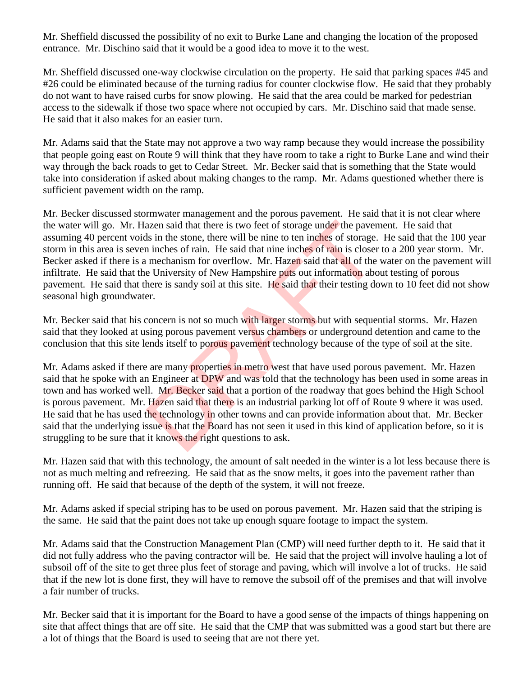Mr. Sheffield discussed the possibility of no exit to Burke Lane and changing the location of the proposed entrance. Mr. Dischino said that it would be a good idea to move it to the west.

Mr. Sheffield discussed one-way clockwise circulation on the property. He said that parking spaces #45 and #26 could be eliminated because of the turning radius for counter clockwise flow. He said that they probably do not want to have raised curbs for snow plowing. He said that the area could be marked for pedestrian access to the sidewalk if those two space where not occupied by cars. Mr. Dischino said that made sense. He said that it also makes for an easier turn.

Mr. Adams said that the State may not approve a two way ramp because they would increase the possibility that people going east on Route 9 will think that they have room to take a right to Burke Lane and wind their way through the back roads to get to Cedar Street. Mr. Becker said that is something that the State would take into consideration if asked about making changes to the ramp. Mr. Adams questioned whether there is sufficient pavement width on the ramp.

Mr. Becker discussed stormwater management and the porous pavement. He said that it is not clear where the water will go. Mr. Hazen said that there is two feet of storage under the pavement. He said that assuming 40 percent voids in the stone, there will be nine to ten inches of storage. He said that the 100 year storm in this area is seven inches of rain. He said that nine inches of rain is closer to a 200 year storm. Mr. Becker asked if there is a mechanism for overflow. Mr. Hazen said that all of the water on the pavement will infiltrate. He said that the University of New Hampshire puts out information about testing of porous pavement. He said that there is sandy soil at this site. He said that their testing down to 10 feet did not show seasonal high groundwater. azen said that there is two feet of storage under the paver<br>ls in the stone, there will be nine to ten inches of storage.<br>
n inches of rain. He said that nine inches of rain is closer<br>
mechanism for overflow. Mr. Hazen sai

Mr. Becker said that his concern is not so much with larger storms but with sequential storms. Mr. Hazen said that they looked at using porous pavement versus chambers or underground detention and came to the conclusion that this site lends itself to porous pavement technology because of the type of soil at the site.

Mr. Adams asked if there are many properties in metro west that have used porous pavement. Mr. Hazen said that he spoke with an Engineer at DPW and was told that the technology has been used in some areas in town and has worked well. Mr. Becker said that a portion of the roadway that goes behind the High School is porous pavement. Mr. Hazen said that there is an industrial parking lot off of Route 9 where it was used. He said that he has used the technology in other towns and can provide information about that. Mr. Becker said that the underlying issue is that the Board has not seen it used in this kind of application before, so it is struggling to be sure that it knows the right questions to ask.

Mr. Hazen said that with this technology, the amount of salt needed in the winter is a lot less because there is not as much melting and refreezing. He said that as the snow melts, it goes into the pavement rather than running off. He said that because of the depth of the system, it will not freeze.

Mr. Adams asked if special striping has to be used on porous pavement. Mr. Hazen said that the striping is the same. He said that the paint does not take up enough square footage to impact the system.

Mr. Adams said that the Construction Management Plan (CMP) will need further depth to it. He said that it did not fully address who the paving contractor will be. He said that the project will involve hauling a lot of subsoil off of the site to get three plus feet of storage and paving, which will involve a lot of trucks. He said that if the new lot is done first, they will have to remove the subsoil off of the premises and that will involve a fair number of trucks.

Mr. Becker said that it is important for the Board to have a good sense of the impacts of things happening on site that affect things that are off site. He said that the CMP that was submitted was a good start but there are a lot of things that the Board is used to seeing that are not there yet.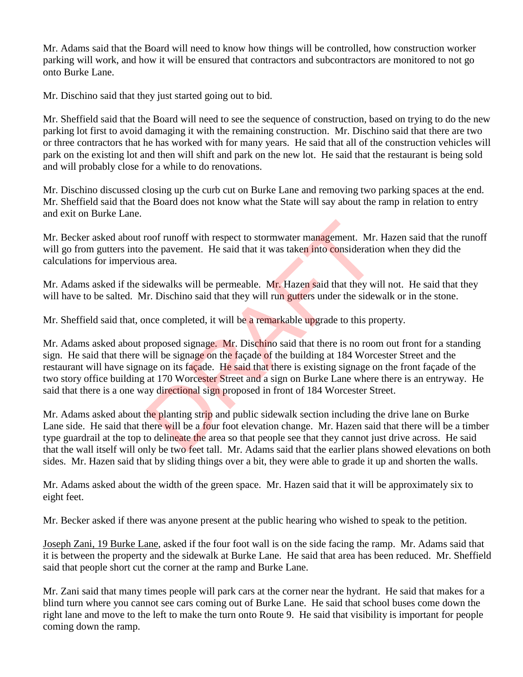Mr. Adams said that the Board will need to know how things will be controlled, how construction worker parking will work, and how it will be ensured that contractors and subcontractors are monitored to not go onto Burke Lane.

Mr. Dischino said that they just started going out to bid.

Mr. Sheffield said that the Board will need to see the sequence of construction, based on trying to do the new parking lot first to avoid damaging it with the remaining construction. Mr. Dischino said that there are two or three contractors that he has worked with for many years. He said that all of the construction vehicles will park on the existing lot and then will shift and park on the new lot. He said that the restaurant is being sold and will probably close for a while to do renovations.

Mr. Dischino discussed closing up the curb cut on Burke Lane and removing two parking spaces at the end. Mr. Sheffield said that the Board does not know what the State will say about the ramp in relation to entry and exit on Burke Lane.

Mr. Becker asked about roof runoff with respect to stormwater management. Mr. Hazen said that the runoff will go from gutters into the pavement. He said that it was taken into consideration when they did the calculations for impervious area.

Mr. Adams asked if the sidewalks will be permeable. Mr. Hazen said that they will not. He said that they will have to be salted. Mr. Dischino said that they will run gutters under the sidewalk or in the stone.

Mr. Sheffield said that, once completed, it will be a remarkable upgrade to this property.

Mr. Adams asked about proposed signage. Mr. Dischino said that there is no room out front for a standing sign. He said that there will be signage on the façade of the building at 184 Worcester Street and the restaurant will have signage on its façade. He said that there is existing signage on the front façade of the two story office building at 170 Worcester Street and a sign on Burke Lane where there is an entryway. He said that there is a one way directional sign proposed in front of 184 Worcester Street. roof runoff with respect to stormwater management. Mr.<br>the pavement. He said that it was taken into consideratic<br>us area.<br>idewalks will be permeable. Mr. Hazen said that they wi<br>fr. Dischino said that they will run gutters

Mr. Adams asked about the planting strip and public sidewalk section including the drive lane on Burke Lane side. He said that there will be a four foot elevation change. Mr. Hazen said that there will be a timber type guardrail at the top to delineate the area so that people see that they cannot just drive across. He said that the wall itself will only be two feet tall. Mr. Adams said that the earlier plans showed elevations on both sides. Mr. Hazen said that by sliding things over a bit, they were able to grade it up and shorten the walls.

Mr. Adams asked about the width of the green space. Mr. Hazen said that it will be approximately six to eight feet.

Mr. Becker asked if there was anyone present at the public hearing who wished to speak to the petition.

Joseph Zani, 19 Burke Lane, asked if the four foot wall is on the side facing the ramp. Mr. Adams said that it is between the property and the sidewalk at Burke Lane. He said that area has been reduced. Mr. Sheffield said that people short cut the corner at the ramp and Burke Lane.

Mr. Zani said that many times people will park cars at the corner near the hydrant. He said that makes for a blind turn where you cannot see cars coming out of Burke Lane. He said that school buses come down the right lane and move to the left to make the turn onto Route 9. He said that visibility is important for people coming down the ramp.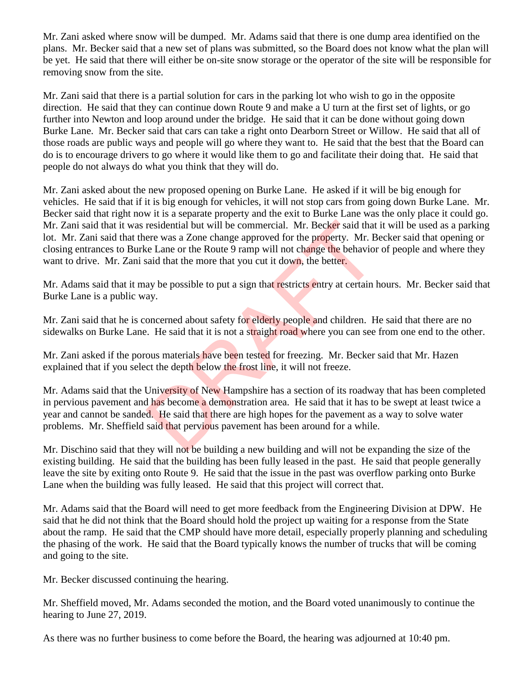Mr. Zani asked where snow will be dumped. Mr. Adams said that there is one dump area identified on the plans. Mr. Becker said that a new set of plans was submitted, so the Board does not know what the plan will be yet. He said that there will either be on-site snow storage or the operator of the site will be responsible for removing snow from the site.

Mr. Zani said that there is a partial solution for cars in the parking lot who wish to go in the opposite direction. He said that they can continue down Route 9 and make a U turn at the first set of lights, or go further into Newton and loop around under the bridge. He said that it can be done without going down Burke Lane. Mr. Becker said that cars can take a right onto Dearborn Street or Willow. He said that all of those roads are public ways and people will go where they want to. He said that the best that the Board can do is to encourage drivers to go where it would like them to go and facilitate their doing that. He said that people do not always do what you think that they will do.

Mr. Zani asked about the new proposed opening on Burke Lane. He asked if it will be big enough for vehicles. He said that if it is big enough for vehicles, it will not stop cars from going down Burke Lane. Mr. Becker said that right now it is a separate property and the exit to Burke Lane was the only place it could go. Mr. Zani said that it was residential but will be commercial. Mr. Becker said that it will be used as a parking lot. Mr. Zani said that there was a Zone change approved for the property. Mr. Becker said that opening or closing entrances to Burke Lane or the Route 9 ramp will not change the behavior of people and where they want to drive. Mr. Zani said that the more that you cut it down, the better.

Mr. Adams said that it may be possible to put a sign that restricts entry at certain hours. Mr. Becker said that Burke Lane is a public way.

Mr. Zani said that he is concerned about safety for elderly people and children. He said that there are no sidewalks on Burke Lane. He said that it is not a straight road where you can see from one end to the other.

Mr. Zani asked if the porous materials have been tested for freezing. Mr. Becker said that Mr. Hazen explained that if you select the depth below the frost line, it will not freeze.

Mr. Adams said that the University of New Hampshire has a section of its roadway that has been completed in pervious pavement and has become a demonstration area. He said that it has to be swept at least twice a year and cannot be sanded. He said that there are high hopes for the pavement as a way to solve water problems. Mr. Sheffield said that pervious pavement has been around for a while. residential but will be commercial. Mr. Becker said that<br>ere was a Zone change approved for the property. Mr. B<br>te Lane or the Route 9 ramp will not change the behavior<br>said that the more that you cut it down, the better.<br>

Mr. Dischino said that they will not be building a new building and will not be expanding the size of the existing building. He said that the building has been fully leased in the past. He said that people generally leave the site by exiting onto Route 9. He said that the issue in the past was overflow parking onto Burke Lane when the building was fully leased. He said that this project will correct that.

Mr. Adams said that the Board will need to get more feedback from the Engineering Division at DPW. He said that he did not think that the Board should hold the project up waiting for a response from the State about the ramp. He said that the CMP should have more detail, especially properly planning and scheduling the phasing of the work. He said that the Board typically knows the number of trucks that will be coming and going to the site.

Mr. Becker discussed continuing the hearing.

Mr. Sheffield moved, Mr. Adams seconded the motion, and the Board voted unanimously to continue the hearing to June 27, 2019.

As there was no further business to come before the Board, the hearing was adjourned at 10:40 pm.